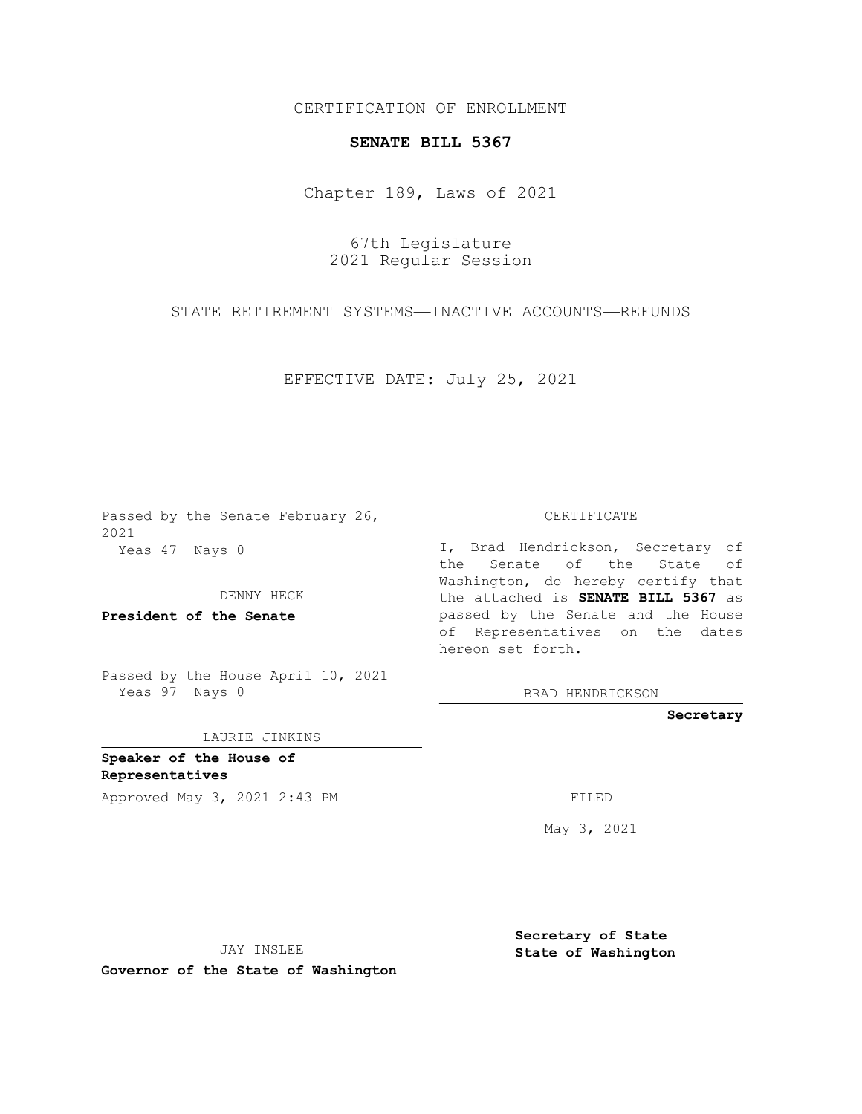CERTIFICATION OF ENROLLMENT

## **SENATE BILL 5367**

Chapter 189, Laws of 2021

67th Legislature 2021 Regular Session

STATE RETIREMENT SYSTEMS—INACTIVE ACCOUNTS—REFUNDS

EFFECTIVE DATE: July 25, 2021

Passed by the Senate February 26, 2021 Yeas 47 Nays 0

DENNY HECK

**President of the Senate**

Passed by the House April 10, 2021 Yeas 97 Nays 0

LAURIE JINKINS

**Speaker of the House of Representatives** Approved May 3, 2021 2:43 PM

CERTIFICATE

I, Brad Hendrickson, Secretary of the Senate of the State of Washington, do hereby certify that the attached is **SENATE BILL 5367** as passed by the Senate and the House of Representatives on the dates hereon set forth.

BRAD HENDRICKSON

**Secretary**

May 3, 2021

JAY INSLEE

**Governor of the State of Washington**

**Secretary of State State of Washington**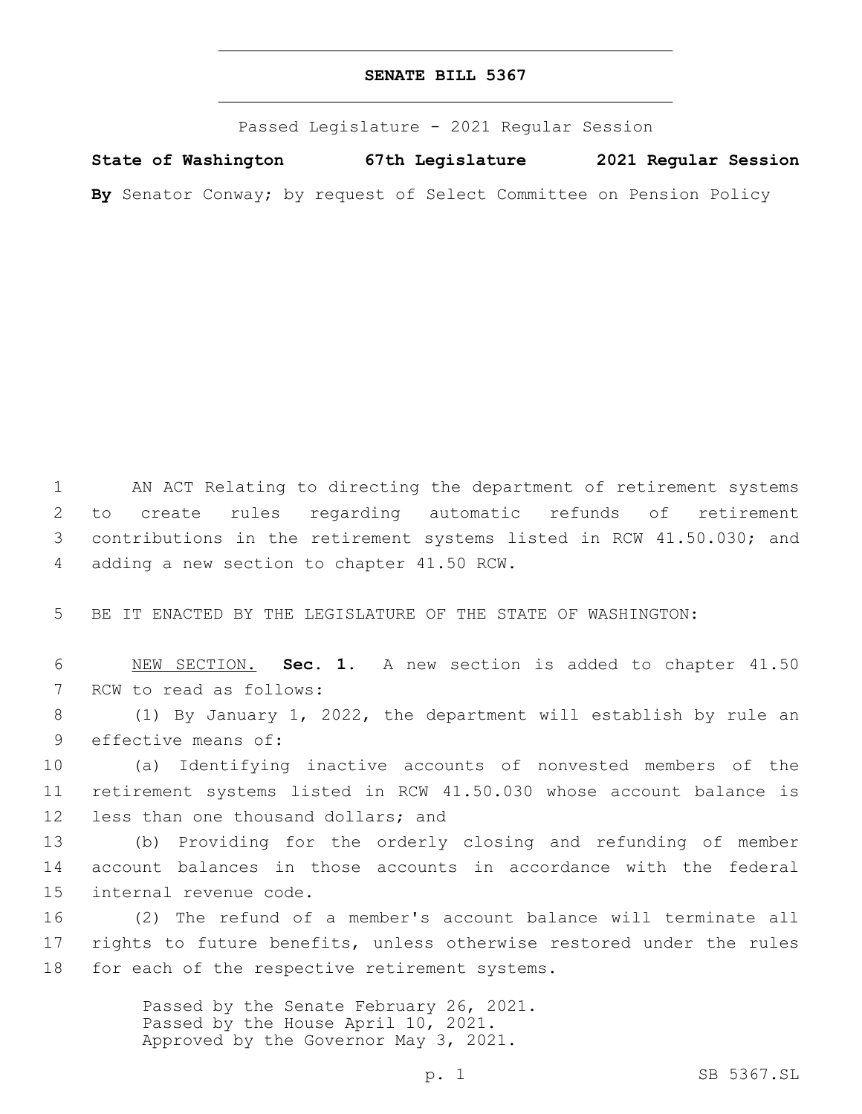## **SENATE BILL 5367**

Passed Legislature - 2021 Regular Session

**State of Washington 67th Legislature 2021 Regular Session By** Senator Conway; by request of Select Committee on Pension Policy

 AN ACT Relating to directing the department of retirement systems to create rules regarding automatic refunds of retirement contributions in the retirement systems listed in RCW 41.50.030; and 4 adding a new section to chapter 41.50 RCW.

5 BE IT ENACTED BY THE LEGISLATURE OF THE STATE OF WASHINGTON:

6 NEW SECTION. **Sec. 1.** A new section is added to chapter 41.50 7 RCW to read as follows:

8 (1) By January 1, 2022, the department will establish by rule an 9 effective means of:

10 (a) Identifying inactive accounts of nonvested members of the 11 retirement systems listed in RCW 41.50.030 whose account balance is 12 less than one thousand dollars; and

13 (b) Providing for the orderly closing and refunding of member 14 account balances in those accounts in accordance with the federal 15 internal revenue code.

16 (2) The refund of a member's account balance will terminate all 17 rights to future benefits, unless otherwise restored under the rules 18 for each of the respective retirement systems.

> Passed by the Senate February 26, 2021. Passed by the House April 10, 2021. Approved by the Governor May 3, 2021.